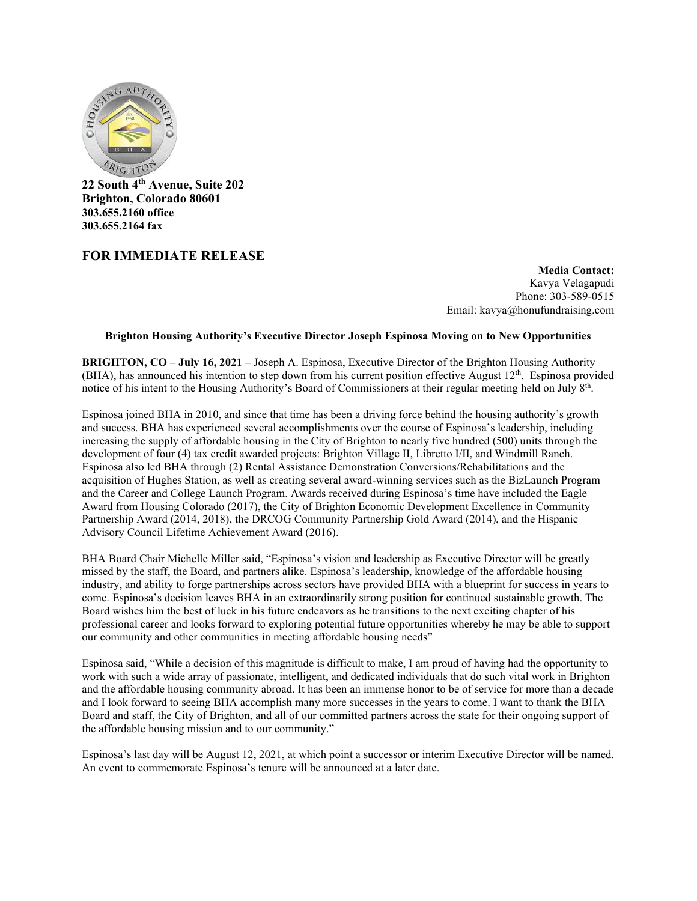

**22 South 4th Avenue, Suite 202 Brighton, Colorado 80601 303.655.2160 office 303.655.2164 fax**

## **FOR IMMEDIATE RELEASE**

**Media Contact:**  Kavya Velagapudi Phone: 303-589-0515 Email: kavya@honufundraising.com

## **Brighton Housing Authority's Executive Director Joseph Espinosa Moving on to New Opportunities**

**BRIGHTON, CO – July 16, 2021 –** Joseph A. Espinosa, Executive Director of the Brighton Housing Authority (BHA), has announced his intention to step down from his current position effective August  $12<sup>th</sup>$ . Espinosa provided notice of his intent to the Housing Authority's Board of Commissioners at their regular meeting held on July 8<sup>th</sup>.

Espinosa joined BHA in 2010, and since that time has been a driving force behind the housing authority's growth and success. BHA has experienced several accomplishments over the course of Espinosa's leadership, including increasing the supply of affordable housing in the City of Brighton to nearly five hundred (500) units through the development of four (4) tax credit awarded projects: Brighton Village II, Libretto I/II, and Windmill Ranch. Espinosa also led BHA through (2) Rental Assistance Demonstration Conversions/Rehabilitations and the acquisition of Hughes Station, as well as creating several award-winning services such as the BizLaunch Program and the Career and College Launch Program. Awards received during Espinosa's time have included the Eagle Award from Housing Colorado (2017), the City of Brighton Economic Development Excellence in Community Partnership Award (2014, 2018), the DRCOG Community Partnership Gold Award (2014), and the Hispanic Advisory Council Lifetime Achievement Award (2016).

BHA Board Chair Michelle Miller said, "Espinosa's vision and leadership as Executive Director will be greatly missed by the staff, the Board, and partners alike. Espinosa's leadership, knowledge of the affordable housing industry, and ability to forge partnerships across sectors have provided BHA with a blueprint for success in years to come. Espinosa's decision leaves BHA in an extraordinarily strong position for continued sustainable growth. The Board wishes him the best of luck in his future endeavors as he transitions to the next exciting chapter of his professional career and looks forward to exploring potential future opportunities whereby he may be able to support our community and other communities in meeting affordable housing needs"

Espinosa said, "While a decision of this magnitude is difficult to make, I am proud of having had the opportunity to work with such a wide array of passionate, intelligent, and dedicated individuals that do such vital work in Brighton and the affordable housing community abroad. It has been an immense honor to be of service for more than a decade and I look forward to seeing BHA accomplish many more successes in the years to come. I want to thank the BHA Board and staff, the City of Brighton, and all of our committed partners across the state for their ongoing support of the affordable housing mission and to our community."

Espinosa's last day will be August 12, 2021, at which point a successor or interim Executive Director will be named. An event to commemorate Espinosa's tenure will be announced at a later date.